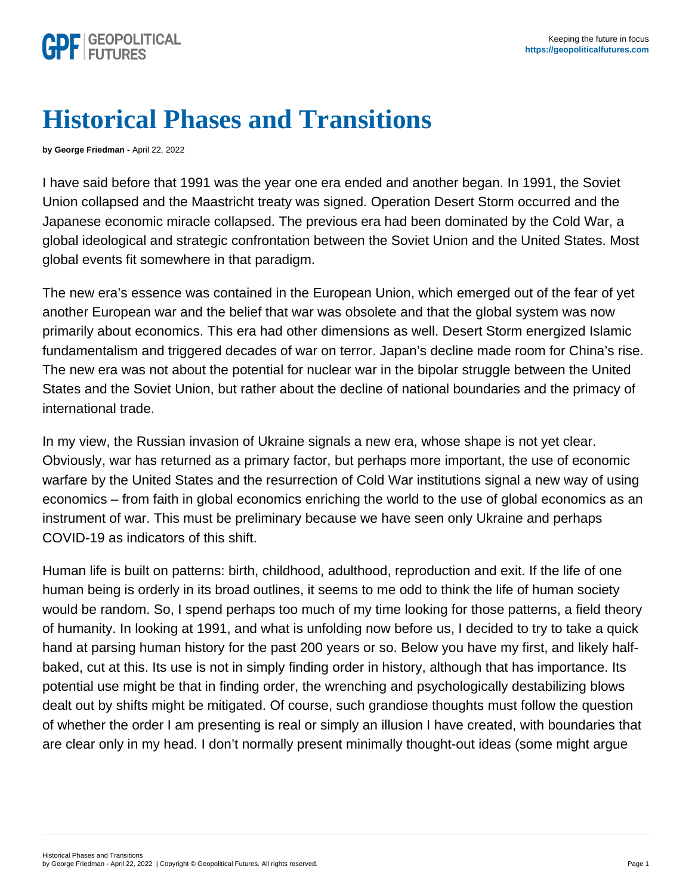## Historical Phases and Transitions

by George Friedman - April 22, 2022

I have said before that 1991 was the year one era ended and another began. In 1991, the Soviet Union collapsed and the Maastricht treaty was signed. Operation Desert Storm occurred and the Japanese economic miracle collapsed. The previous era had been dominated by the Cold War, a global ideological and strategic confrontation between the Soviet Union and the United States. Most global events fit somewhere in that paradigm.

The new era's essence was contained in the European Union, which emerged out of the fear of yet another European war and the belief that war was obsolete and that the global system was now primarily about economics. This era had other dimensions as well. Desert Storm energized Islamic fundamentalism and triggered decades of war on terror. Japan's decline made room for China's rise. The new era was not about the potential for nuclear war in the bipolar struggle between the United States and the Soviet Union, but rather about the decline of national boundaries and the primacy of international trade.

In my view, the Russian invasion of Ukraine signals a new era, whose shape is not yet clear. Obviously, war has returned as a primary factor, but perhaps more important, the use of economic warfare by the United States and the resurrection of Cold War institutions signal a new way of using economics – from faith in global economics enriching the world to the use of global economics as an instrument of war. This must be preliminary because we have seen only Ukraine and perhaps COVID-19 as indicators of this shift.

Human life is built on patterns: birth, childhood, adulthood, reproduction and exit. If the life of one human being is orderly in its broad outlines, it seems to me odd to think the life of human society would be random. So, I spend perhaps too much of my time looking for those patterns, a field theory of humanity. In looking at 1991, and what is unfolding now before us, I decided to try to take a quick hand at parsing human history for the past 200 years or so. Below you have my first, and likely halfbaked, cut at this. Its use is not in simply finding order in history, although that has importance. Its potential use might be that in finding order, the wrenching and psychologically destabilizing blows dealt out by shifts might be mitigated. Of course, such grandiose thoughts must follow the question of whether the order I am presenting is real or simply an illusion I have created, with boundaries that are clear only in my head. I don't normally present minimally thought-out ideas (some might argue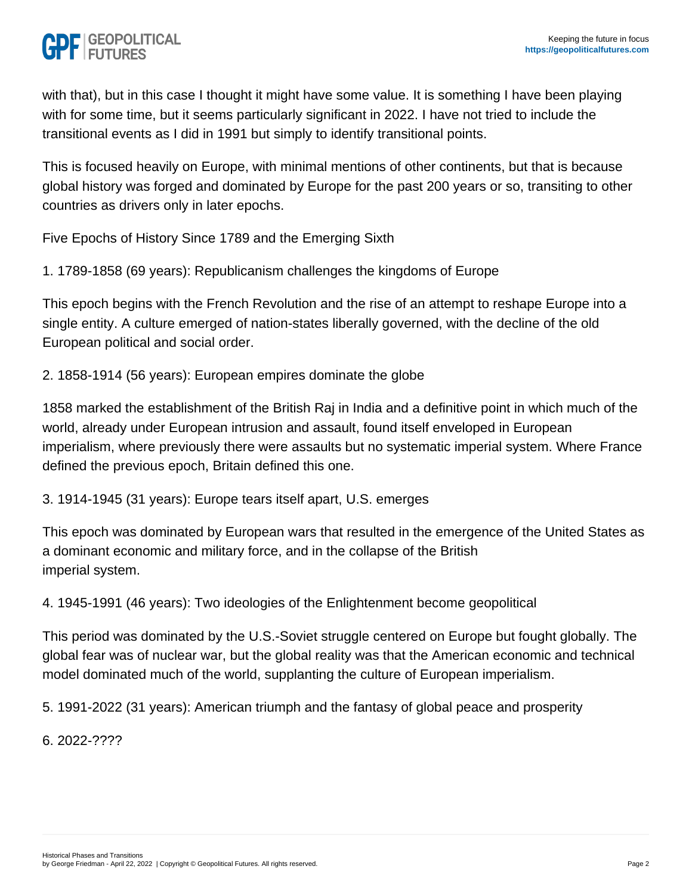with that), but in this case I thought it might have some value. It is something I have been playing with for some time, but it seems particularly significant in 2022. I have not tried to include the transitional events as I did in 1991 but simply to identify transitional points.

This is focused heavily on Europe, with minimal mentions of other continents, but that is because global history was forged and dominated by Europe for the past 200 years or so, transiting to other countries as drivers only in later epochs.

Five Epochs of History Since 1789 and the Emerging Sixth

1. 1789-1858 (69 years): Republicanism challenges the kingdoms of Europe

This epoch begins with the French Revolution and the rise of an attempt to reshape Europe into a single entity. A culture emerged of nation-states liberally governed, with the decline of the old European political and social order.

2. 1858-1914 (56 years): European empires dominate the globe

1858 marked the establishment of the British Raj in India and a definitive point in which much of the world, already under European intrusion and assault, found itself enveloped in European imperialism, where previously there were assaults but no systematic imperial system. Where France defined the previous epoch, Britain defined this one.

3. 1914-1945 (31 years): Europe tears itself apart, U.S. emerges

This epoch was dominated by European wars that resulted in the emergence of the United States as a dominant economic and military force, and in the collapse of the British imperial system.

4. 1945-1991 (46 years): Two ideologies of the Enlightenment become geopolitical

This period was dominated by the U.S.-Soviet struggle centered on Europe but fought globally. The global fear was of nuclear war, but the global reality was that the American economic and technical model dominated much of the world, supplanting the culture of European imperialism.

5. 1991-2022 (31 years): American triumph and the fantasy of global peace and prosperity

6. 2022-????